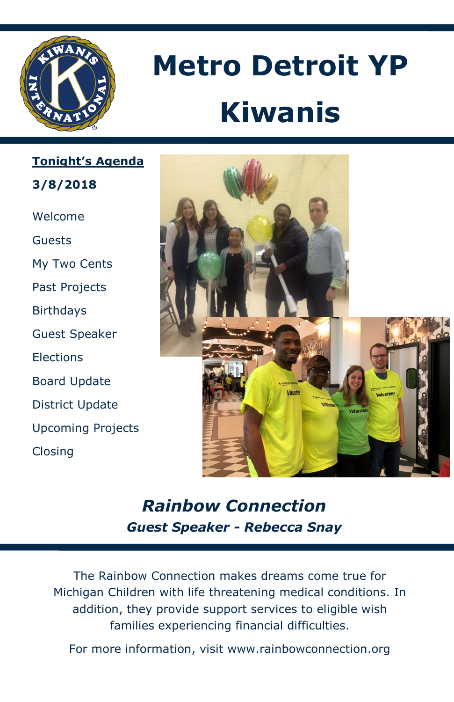

# **Metro Detroit YP Kiwanis**

**Tonight's Agenda 3/8/2018**

Welcome Guests My Two Cents Past Projects Birthdays Guest Speaker **Elections** Board Update District Update Upcoming Projects Closing



## *Rainbow Connection Guest Speaker - Rebecca Snay*

The Rainbow Connection makes dreams come true for Michigan Children with life threatening medical conditions. In addition, they provide support services to eligible wish families experiencing financial difficulties.

For more information, visit www.rainbowconnection.org